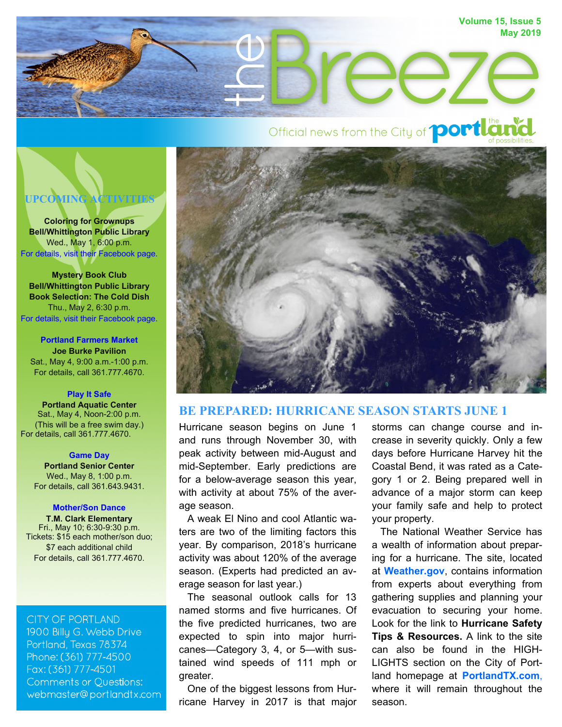# **Volume 15, Issue 5 May 2019**   $\ominus$

# Official news from the City of **portland**



**Coloring for Grownups Bell/Whittington Public Library**  Wed., May 1, 6:00 p.m. [For details, visit their Facebook page.](https://www.facebook.com/BellWhittingtonLibrary)

**Mystery Book Club Bell/Whittington Public Library Book Selection: The Cold Dish**  Thu., May 2, 6:30 p.m. [For details, visit their Facebook page.](https://www.facebook.com/BellWhittingtonLibrary)

**[Portland Farmers Market](http://portlandtx.com/488/Farmers-Market) Joe Burke Pavilion**  Sat., May 4, 9:00 a.m.-1:00 p.m. For details, call 361.777.4670.

#### **Play [It Safe](http://portlandtx.com/CivicAlerts.aspx?AID=299)**

**Portland Aquatic Center**  Sat., May 4, Noon-2:00 p.m. (This will be a free swim day.) For details, call 361.777.4670.

#### **[Game Day](http://portlandtx.com/484/Senior-Center)**

**Portland Senior Center**  Wed., May 8, 1:00 p.m. For details, call 361.643.9431.

#### **[Mother/Son Dance](http://portlandtx.com/499/MotherSon-Dance)**

**T.M. Clark Elementary** Fri., May 10; 6:30-9:30 p.m. Tickets: \$15 each mother/son duo; \$7 each additional child For details, call 361.777.4670.

#### **CITY OF PORTLAND**

1900 Billu G. Webb Drive Portland, Texas 78374 Phone: (361) 777-4500 Fax: (361) 777-4501 **Comments or Questions:** webmaster@portlandtx.com



# **BE PREPARED: HURRICANE SEASON STARTS JUNE 1**

Hurricane season begins on June 1 and runs through November 30, with peak activity between mid-August and mid-September. Early predictions are for a below-average season this year, with activity at about 75% of the average season.

 A weak El Nino and cool Atlantic waters are two of the limiting factors this year. By comparison, 2018's hurricane activity was about 120% of the average season. (Experts had predicted an average season for last year.)

 The seasonal outlook calls for 13 named storms and five hurricanes. Of the five predicted hurricanes, two are expected to spin into major hurricanes—Category 3, 4, or 5—with sustained wind speeds of 111 mph or greater.

 One of the biggest lessons from Hurricane Harvey in 2017 is that major storms can change course and increase in severity quickly. Only a few days before Hurricane Harvey hit the Coastal Bend, it was rated as a Category 1 or 2. Being prepared well in advance of a major storm can keep your family safe and help to protect your property.

 The National Weather Service has a wealth of information about preparing for a hurricane. The site, located at **[Weather.gov](https://www.weather.gov/safety/hurricane)**, contains information from experts about everything from gathering supplies and planning your evacuation to securing your home. Look for the link to **Hurricane Safety Tips & Resources.** A link to the site can also be found in the HIGH-LIGHTS section on the City of Portland homepage at **[PortlandTX.com](http://portlandtx.com/CivicAlerts.aspx?AID=263)**, where it will remain throughout the season.